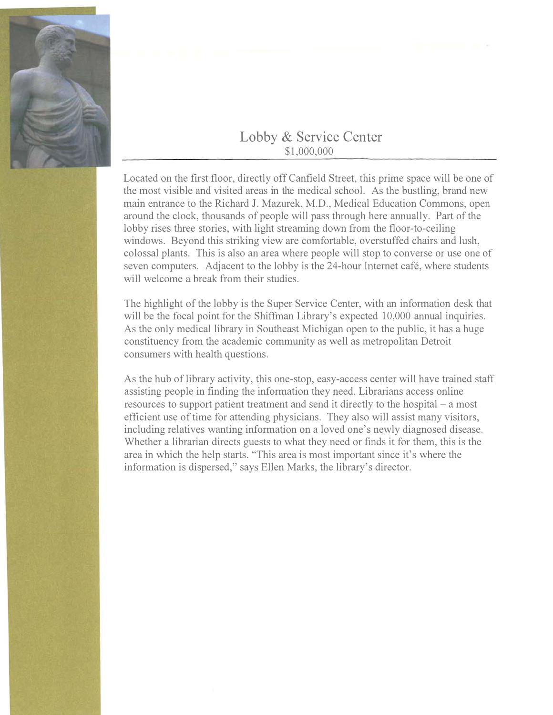

## Lobby & Service Center \$1,000,000

Located on the first floor, directly off Canfield Street, this prime space will be one of the most visible and visited areas in the medical school. As the bustling, brand new main entrance to the Richard J. Mazurek, M.D., Medical Education Commons, open around the clock, thousands of people will pass through here annually. Part of the lobby rises three stories, with light streaming down from the floor-to-ceiling windows. Beyond this striking view are comfortable, overstuffed chairs and lush, colossal plants. This is also an area where people will stop to converse or use one of seven computers. Adjacent to the lobby is the 24-hour Internet café, where students will welcome a break from their studies.

The highlight of the lobby is the Super Service Center, with an information desk that will be the focal point for the Shiffman Library's expected 10,000 annual inquiries. As the only medical library in Southeast Michigan open to the public, it has a huge constituency from the academic community as well as metropolitan Detroit consumers with health questions.

As the hub of library activity, this one-stop, easy-access center will have trained staff assisting people in finding the information they need. Librarians access online resources to support patient treatment and send it directly to the hospital – a most efficient use of time for attending physicians. They also will assist many visitors, including relatives wanting information on a loved one's newly diagnosed disease. Whether a librarian directs guests to what they need or finds it for them, this is the area in which the help starts. "This area is most important since it's where the information is dispersed," says Ellen Marks, the library's director.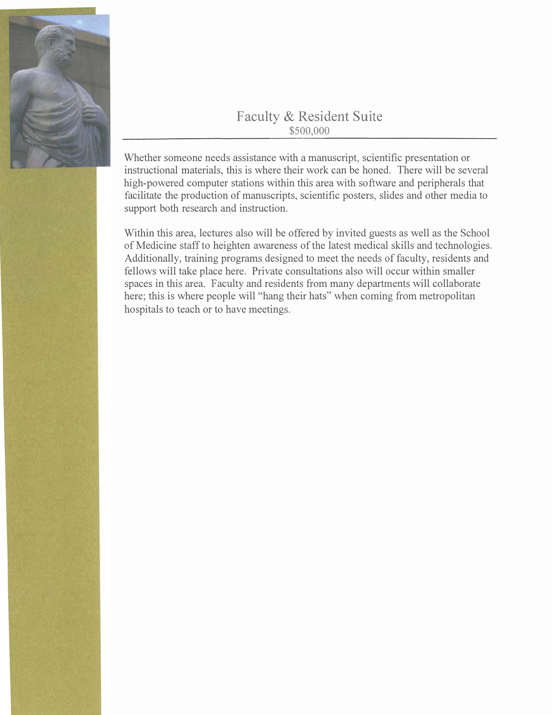

## Faculty & Resident Suite \$500,000

Whether someone needs assistance with a manuscript, scientific presentation or instructional materials, this is where their work can be honed. There will be several high-powered computer stations within this area with software and peripherals that facilitate the production of manuscripts, scientific posters, slides and other media to support both research and instruction.

Within this area, lectures also will be offered by invited guests as well as the School of Medicine staff to heighten awareness of the latest medical skills and technologies. Additionally, training programs designed to meet the needs of faculty, residents and fellows will take place here. Private consultations also will occur within smaller spaces in this area. Faculty and residents from many departments will collaborate here; this is where people will "hang their hats" when coming from metropolitan hospitals to teach or to have meetings.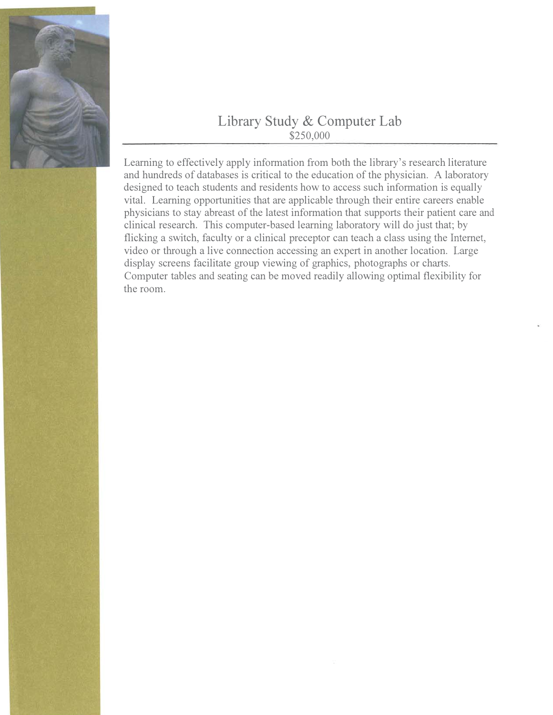

## Library Study & Computer Lab  $$250,000$

Learning to effectively apply information from both the library's research literature and hundreds of databases is critical to the education of the physician. A laboratory designed to teach students and residents how to access such information is equally vital. Learning opportunities that are applicable through their entire careers enable physicians to stay abreast of the latest information that supports their patient care and clinical research. This computer-based learning laboratory will do just that; by flicking a switch, faculty or a clinical preceptor can teach a class using the Internet, video or through a live connection accessing an expert in another location. Large display screens facilitate group viewing of graphics, photographs or charts. Computer tables and seating can be moved readily allowing optimal flexibility for the room.